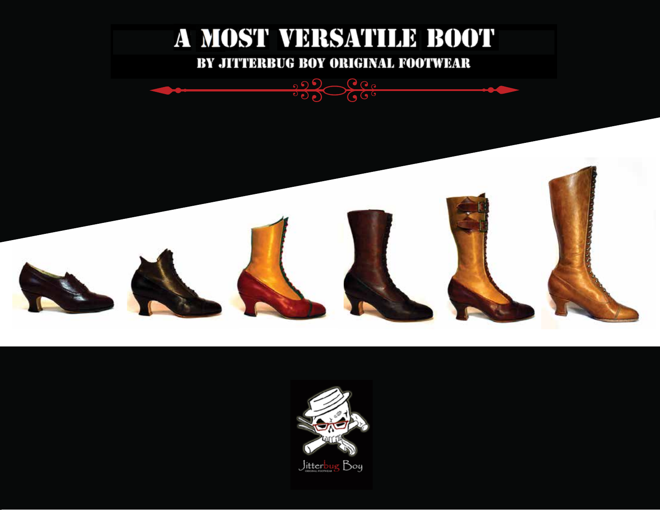

000 000

 $7666$ 



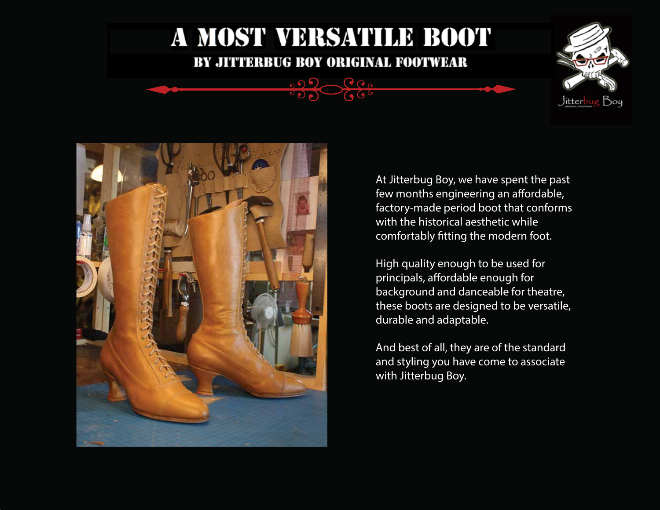### BY JITTERBUG BOY ORIGINAL FOOTWEAR

 $\Omega_{\Omega}$   $\sim$   $\Omega_{\Omega_{\Omega}}$ 

 $\sqrt{66}$ 





At Jitterbug Boy, we have spent the past few months engineering an affordable, factory-made period boot that conforms with the historical aesthetic while comfortably fitting the modern foot.

High quality enough to be used for principals, affordable enough for background and danceable for theatre, these boots are designed to be versatile, durable and adaptable.

And best of all, they are of the standard and styling you have come to associate with Jitterbug Boy.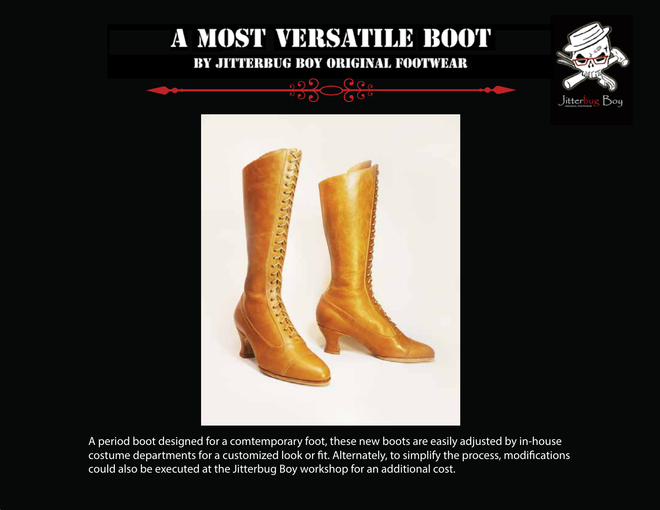

 $\Omega_{\Omega_{\Omega}}$ 

 $\Omega$ 





A period boot designed for a comtemporary foot, these new boots are easily adjusted by in-house costume departments for a customized look or fit. Alternately, to simplify the process, modifications could also be executed at the Jitterbug Boy workshop for an additional cost.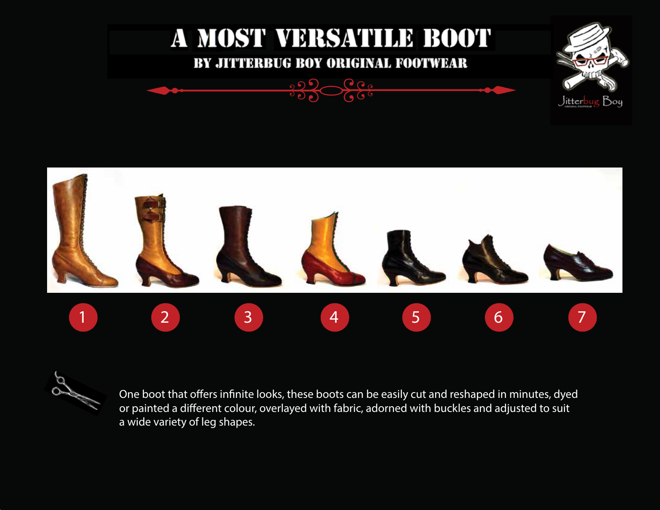



One boot that offers infinite looks, these boots can be easily cut and reshaped in minutes, dyed or painted a different colour, overlayed with fabric, adorned with buckles and adjusted to suit a wide variety of leg shapes.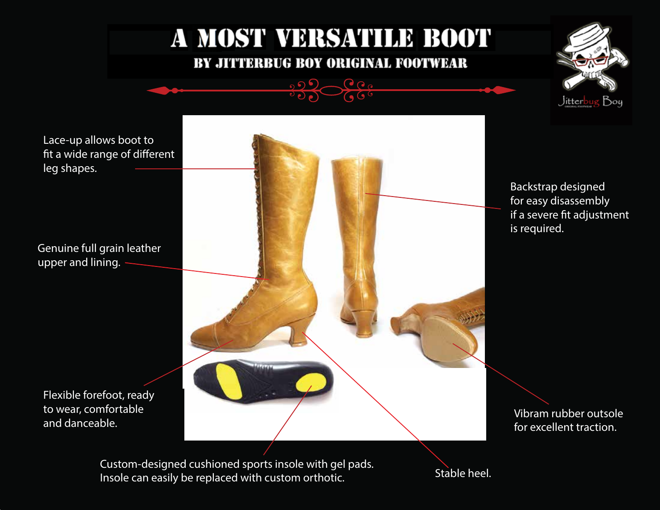### BY JITTERBUG BOY ORIGINAL FOOTWEAR

 $\bigcirc$   $\bigcirc$   $\circ$  $\sqrt{6}$ 

 $0.05$ 





Custom-designed cushioned sports insole with gel pads. Insole can easily be replaced with custom orthotic.

Stable heel.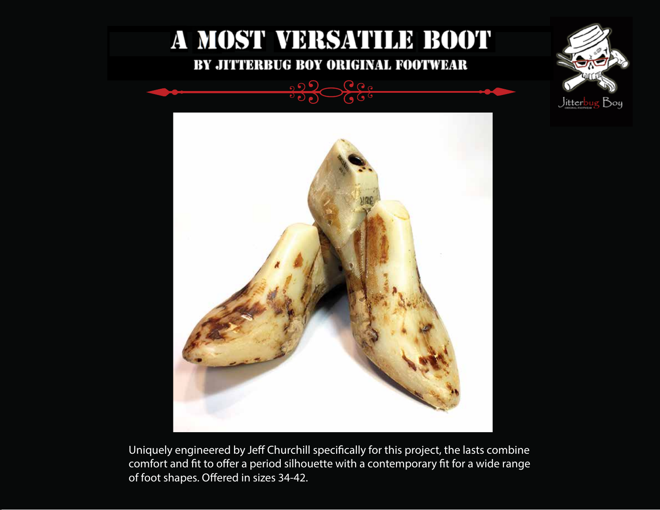





Uniquely engineered by Jeff Churchill specifically for this project, the lasts combine comfort and fit to offer a period silhouette with a contemporary fit for a wide range of foot shapes. Offered in sizes 34-42.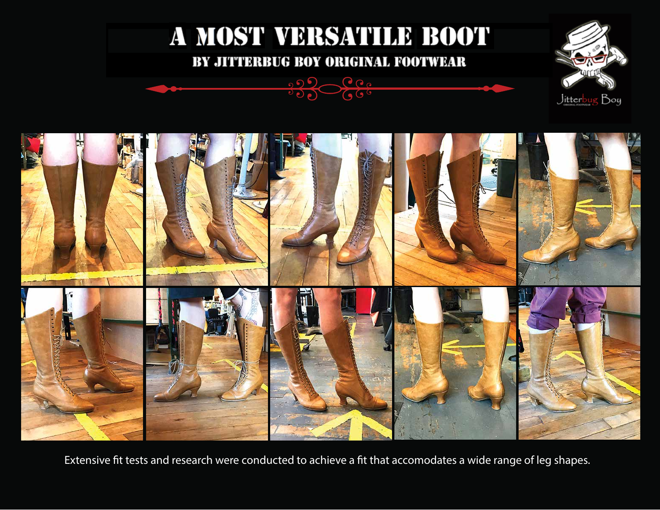### BY JITTERBUG BOY ORIGINAL FOOTWEAR







Extensive fit tests and research were conducted to achieve a fit that accomodates a wide range of leg shapes.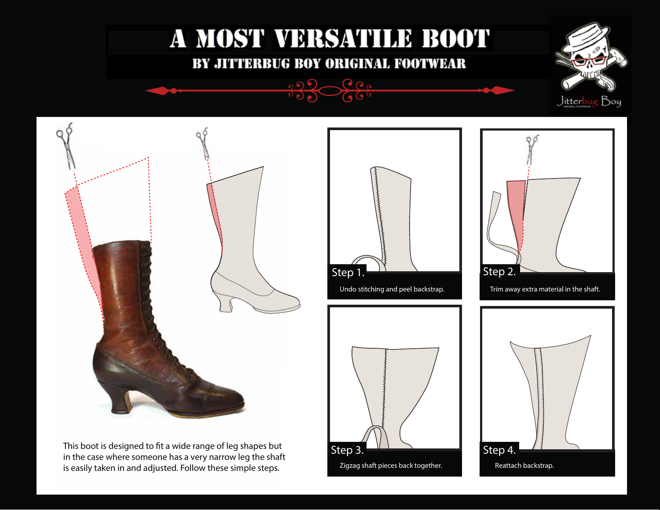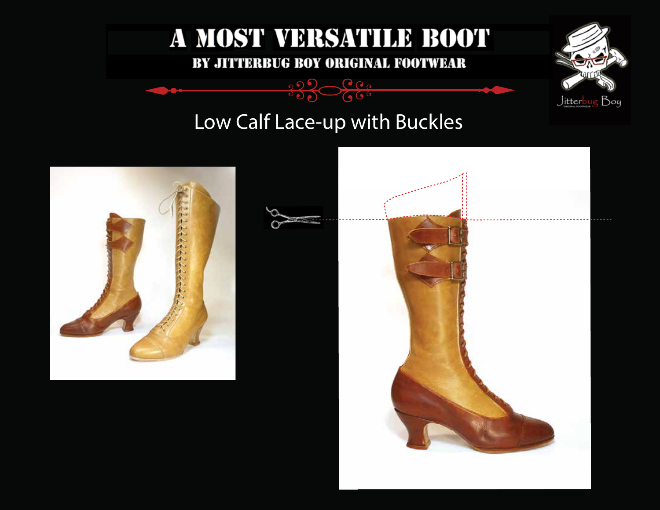

 $\sqrt{60}$  $700$ 



### Low Calf Lace-up with Buckles

 $0.05$ 



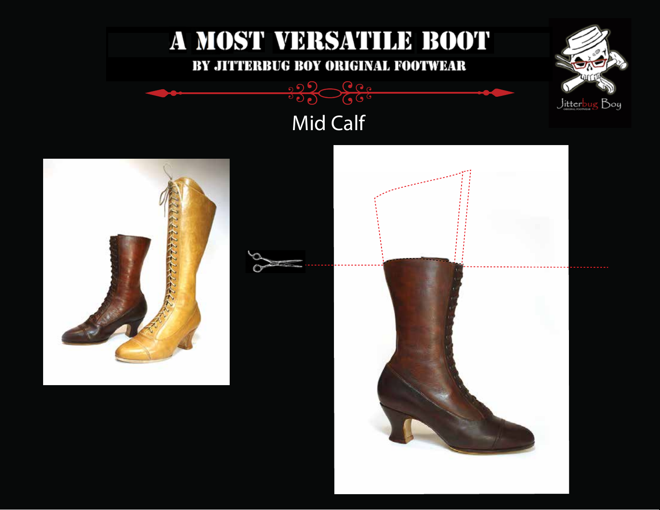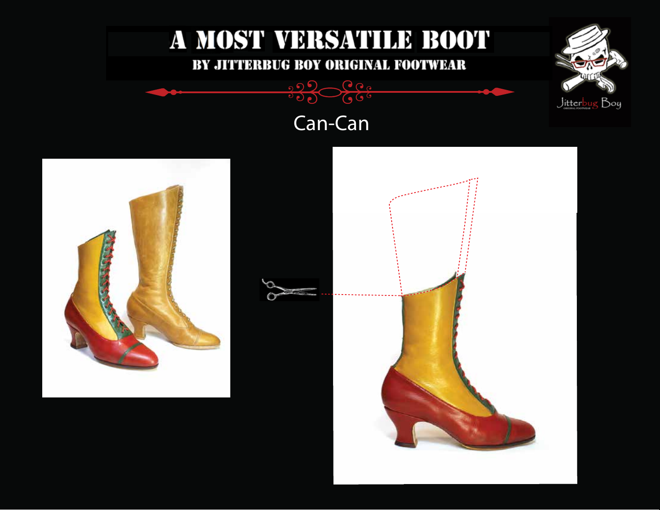



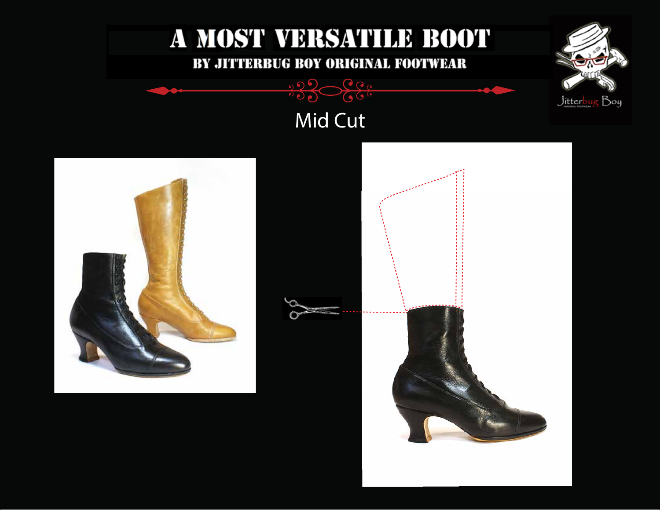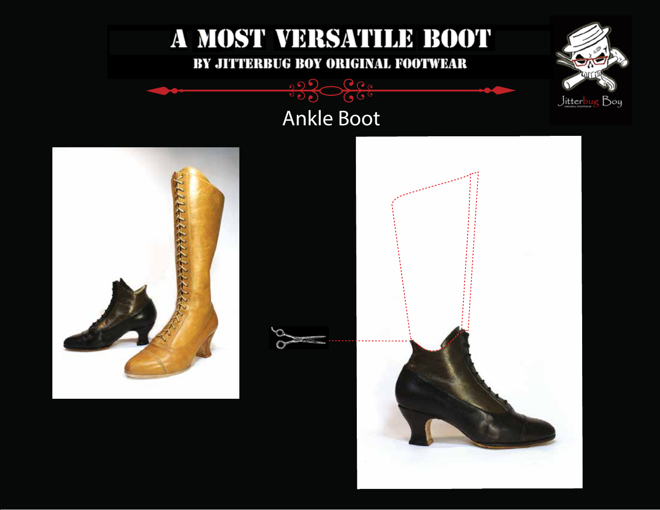



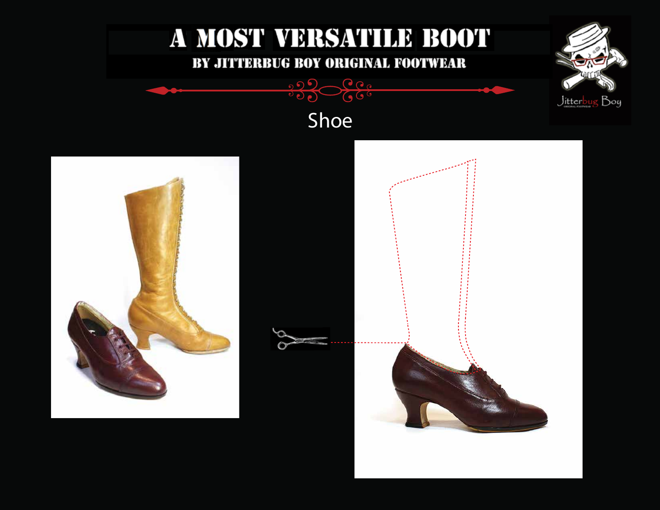